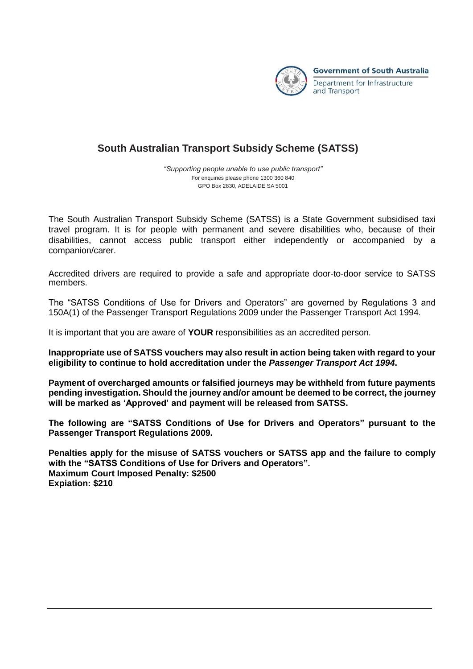

## **South Australian Transport Subsidy Scheme (SATSS)**

*"Supporting people unable to use public transport"* For enquiries please phone 1300 360 840 GPO Box 2830, ADELAIDE SA 5001

The South Australian Transport Subsidy Scheme (SATSS) is a State Government subsidised taxi travel program. It is for people with permanent and severe disabilities who, because of their disabilities, cannot access public transport either independently or accompanied by a companion/carer.

Accredited drivers are required to provide a safe and appropriate door-to-door service to SATSS members.

The "SATSS Conditions of Use for Drivers and Operators" are governed by Regulations 3 and 150A(1) of the Passenger Transport Regulations 2009 under the Passenger Transport Act 1994.

It is important that you are aware of **YOUR** responsibilities as an accredited person.

**Inappropriate use of SATSS vouchers may also result in action being taken with regard to your eligibility to continue to hold accreditation under the** *Passenger Transport Act 1994***.** 

**Payment of overcharged amounts or falsified journeys may be withheld from future payments pending investigation. Should the journey and/or amount be deemed to be correct, the journey will be marked as 'Approved' and payment will be released from SATSS.**

**The following are "SATSS Conditions of Use for Drivers and Operators" pursuant to the Passenger Transport Regulations 2009.**

**Penalties apply for the misuse of SATSS vouchers or SATSS app and the failure to comply with the "SATSS Conditions of Use for Drivers and Operators". Maximum Court Imposed Penalty: \$2500 Expiation: \$210**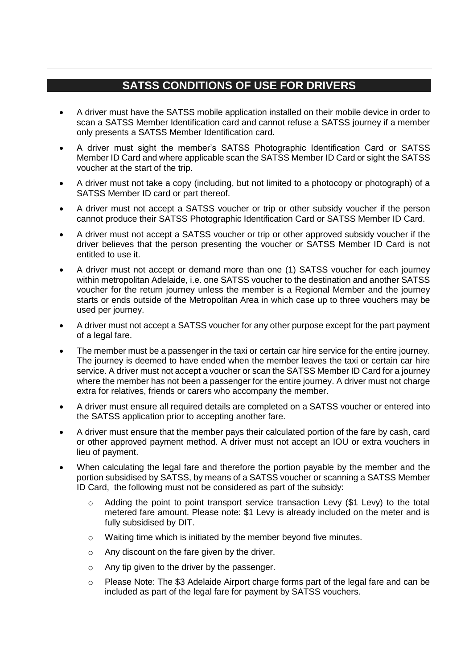## **SATSS CONDITIONS OF USE FOR DRIVERS**

- A driver must have the SATSS mobile application installed on their mobile device in order to scan a SATSS Member Identification card and cannot refuse a SATSS journey if a member only presents a SATSS Member Identification card.
- A driver must sight the member's SATSS Photographic Identification Card or SATSS Member ID Card and where applicable scan the SATSS Member ID Card or sight the SATSS voucher at the start of the trip.
- A driver must not take a copy (including, but not limited to a photocopy or photograph) of a SATSS Member ID card or part thereof.
- A driver must not accept a SATSS voucher or trip or other subsidy voucher if the person cannot produce their SATSS Photographic Identification Card or SATSS Member ID Card.
- A driver must not accept a SATSS voucher or trip or other approved subsidy voucher if the driver believes that the person presenting the voucher or SATSS Member ID Card is not entitled to use it.
- A driver must not accept or demand more than one (1) SATSS voucher for each journey within metropolitan Adelaide, i.e. one SATSS voucher to the destination and another SATSS voucher for the return journey unless the member is a Regional Member and the journey starts or ends outside of the Metropolitan Area in which case up to three vouchers may be used per journey.
- A driver must not accept a SATSS voucher for any other purpose except for the part payment of a legal fare.
- The member must be a passenger in the taxi or certain car hire service for the entire journey. The journey is deemed to have ended when the member leaves the taxi or certain car hire service. A driver must not accept a voucher or scan the SATSS Member ID Card for a journey where the member has not been a passenger for the entire journey. A driver must not charge extra for relatives, friends or carers who accompany the member.
- A driver must ensure all required details are completed on a SATSS voucher or entered into the SATSS application prior to accepting another fare.
- A driver must ensure that the member pays their calculated portion of the fare by cash, card or other approved payment method. A driver must not accept an IOU or extra vouchers in lieu of payment.
- When calculating the legal fare and therefore the portion payable by the member and the portion subsidised by SATSS, by means of a SATSS voucher or scanning a SATSS Member ID Card, the following must not be considered as part of the subsidy:
	- $\circ$  Adding the point to point transport service transaction Levy (\$1 Levy) to the total metered fare amount. Please note: \$1 Levy is already included on the meter and is fully subsidised by DIT.
	- o Waiting time which is initiated by the member beyond five minutes.
	- o Any discount on the fare given by the driver.
	- o Any tip given to the driver by the passenger.
	- o Please Note: The \$3 Adelaide Airport charge forms part of the legal fare and can be included as part of the legal fare for payment by SATSS vouchers.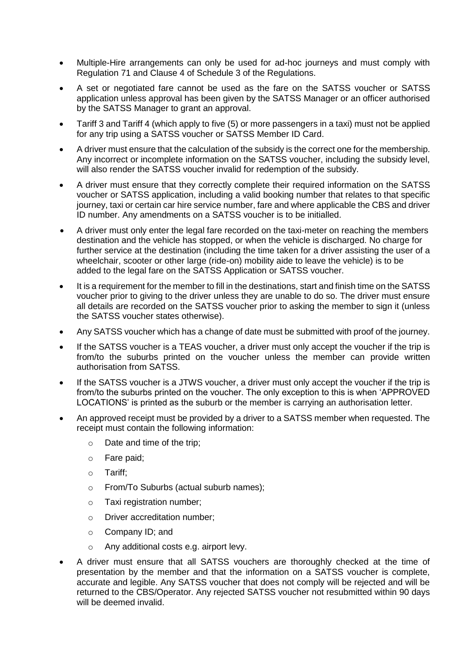- Multiple-Hire arrangements can only be used for ad-hoc journeys and must comply with Regulation 71 and Clause 4 of Schedule 3 of the Regulations.
- A set or negotiated fare cannot be used as the fare on the SATSS voucher or SATSS application unless approval has been given by the SATSS Manager or an officer authorised by the SATSS Manager to grant an approval.
- Tariff 3 and Tariff 4 (which apply to five (5) or more passengers in a taxi) must not be applied for any trip using a SATSS voucher or SATSS Member ID Card.
- A driver must ensure that the calculation of the subsidy is the correct one for the membership. Any incorrect or incomplete information on the SATSS voucher, including the subsidy level, will also render the SATSS voucher invalid for redemption of the subsidy.
- A driver must ensure that they correctly complete their required information on the SATSS voucher or SATSS application, including a valid booking number that relates to that specific journey, taxi or certain car hire service number, fare and where applicable the CBS and driver ID number. Any amendments on a SATSS voucher is to be initialled.
- A driver must only enter the legal fare recorded on the taxi-meter on reaching the members destination and the vehicle has stopped, or when the vehicle is discharged. No charge for further service at the destination (including the time taken for a driver assisting the user of a wheelchair, scooter or other large (ride-on) mobility aide to leave the vehicle) is to be added to the legal fare on the SATSS Application or SATSS voucher.
- It is a requirement for the member to fill in the destinations, start and finish time on the SATSS voucher prior to giving to the driver unless they are unable to do so. The driver must ensure all details are recorded on the SATSS voucher prior to asking the member to sign it (unless the SATSS voucher states otherwise).
- Any SATSS voucher which has a change of date must be submitted with proof of the journey.
- If the SATSS voucher is a TEAS voucher, a driver must only accept the voucher if the trip is from/to the suburbs printed on the voucher unless the member can provide written authorisation from SATSS.
- If the SATSS voucher is a JTWS voucher, a driver must only accept the voucher if the trip is from/to the suburbs printed on the voucher. The only exception to this is when 'APPROVED LOCATIONS' is printed as the suburb or the member is carrying an authorisation letter.
- An approved receipt must be provided by a driver to a SATSS member when requested. The receipt must contain the following information:
	- o Date and time of the trip;
	- o Fare paid;
	- o Tariff;
	- o From/To Suburbs (actual suburb names);
	- o Taxi registration number;
	- o Driver accreditation number;
	- o Company ID; and
	- o Any additional costs e.g. airport levy.
- A driver must ensure that all SATSS vouchers are thoroughly checked at the time of presentation by the member and that the information on a SATSS voucher is complete, accurate and legible. Any SATSS voucher that does not comply will be rejected and will be returned to the CBS/Operator. Any rejected SATSS voucher not resubmitted within 90 days will be deemed invalid.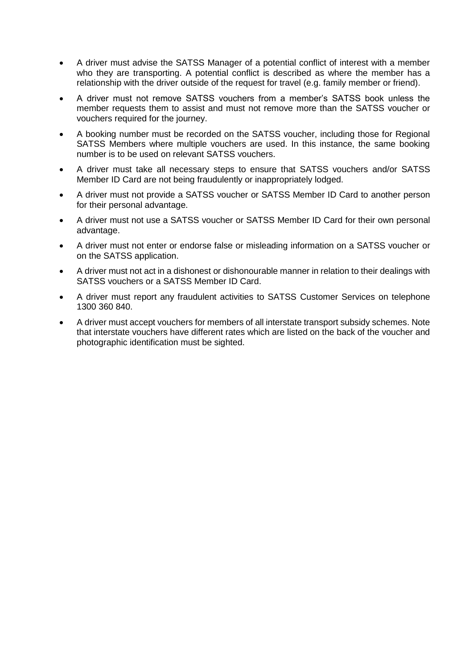- A driver must advise the SATSS Manager of a potential conflict of interest with a member who they are transporting. A potential conflict is described as where the member has a relationship with the driver outside of the request for travel (e.g. family member or friend).
- A driver must not remove SATSS vouchers from a member's SATSS book unless the member requests them to assist and must not remove more than the SATSS voucher or vouchers required for the journey.
- A booking number must be recorded on the SATSS voucher, including those for Regional SATSS Members where multiple vouchers are used. In this instance, the same booking number is to be used on relevant SATSS vouchers.
- A driver must take all necessary steps to ensure that SATSS vouchers and/or SATSS Member ID Card are not being fraudulently or inappropriately lodged.
- A driver must not provide a SATSS voucher or SATSS Member ID Card to another person for their personal advantage.
- A driver must not use a SATSS voucher or SATSS Member ID Card for their own personal advantage.
- A driver must not enter or endorse false or misleading information on a SATSS voucher or on the SATSS application.
- A driver must not act in a dishonest or dishonourable manner in relation to their dealings with SATSS vouchers or a SATSS Member ID Card.
- A driver must report any fraudulent activities to SATSS Customer Services on telephone 1300 360 840.
- A driver must accept vouchers for members of all interstate transport subsidy schemes. Note that interstate vouchers have different rates which are listed on the back of the voucher and photographic identification must be sighted.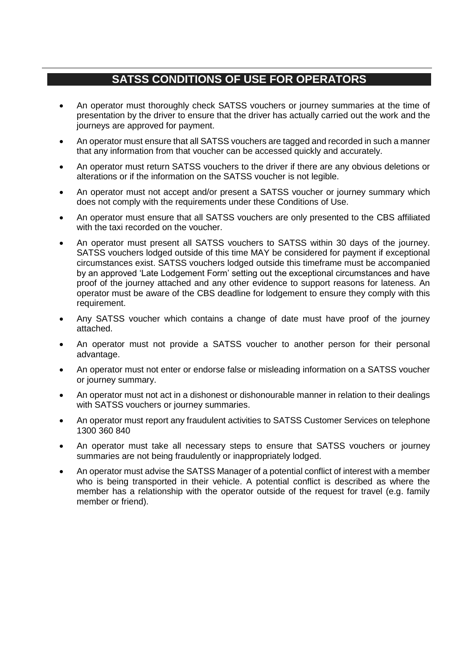## **SATSS CONDITIONS OF USE FOR OPERATORS**

- An operator must thoroughly check SATSS vouchers or journey summaries at the time of presentation by the driver to ensure that the driver has actually carried out the work and the journeys are approved for payment.
- An operator must ensure that all SATSS vouchers are tagged and recorded in such a manner that any information from that voucher can be accessed quickly and accurately.
- An operator must return SATSS vouchers to the driver if there are any obvious deletions or alterations or if the information on the SATSS voucher is not legible.
- An operator must not accept and/or present a SATSS voucher or journey summary which does not comply with the requirements under these Conditions of Use.
- An operator must ensure that all SATSS vouchers are only presented to the CBS affiliated with the taxi recorded on the voucher.
- An operator must present all SATSS vouchers to SATSS within 30 days of the journey. SATSS vouchers lodged outside of this time MAY be considered for payment if exceptional circumstances exist. SATSS vouchers lodged outside this timeframe must be accompanied by an approved 'Late Lodgement Form' setting out the exceptional circumstances and have proof of the journey attached and any other evidence to support reasons for lateness. An operator must be aware of the CBS deadline for lodgement to ensure they comply with this requirement.
- Any SATSS voucher which contains a change of date must have proof of the journey attached.
- An operator must not provide a SATSS voucher to another person for their personal advantage.
- An operator must not enter or endorse false or misleading information on a SATSS voucher or journey summary.
- An operator must not act in a dishonest or dishonourable manner in relation to their dealings with SATSS vouchers or journey summaries.
- An operator must report any fraudulent activities to SATSS Customer Services on telephone 1300 360 840
- An operator must take all necessary steps to ensure that SATSS vouchers or journey summaries are not being fraudulently or inappropriately lodged.
- An operator must advise the SATSS Manager of a potential conflict of interest with a member who is being transported in their vehicle. A potential conflict is described as where the member has a relationship with the operator outside of the request for travel (e.g. family member or friend).